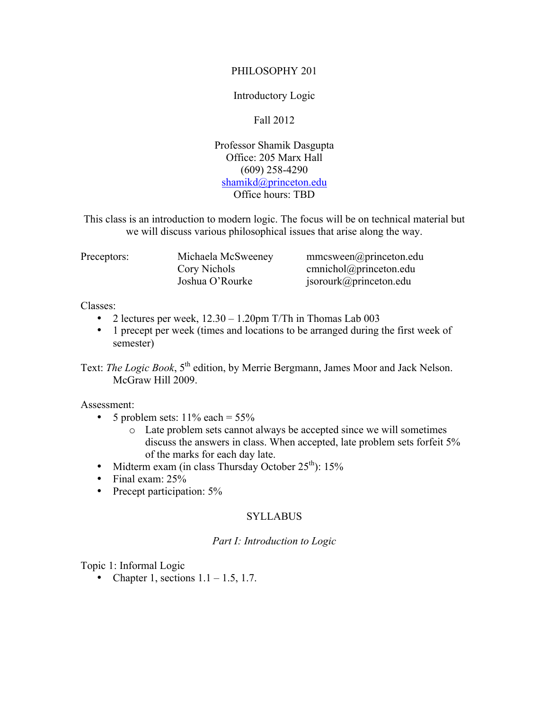## PHILOSOPHY 201

## Introductory Logic

# Fall 2012

Professor Shamik Dasgupta Office: 205 Marx Hall (609) 258-4290 shamikd@princeton.edu Office hours: TBD

This class is an introduction to modern logic. The focus will be on technical material but we will discuss various philosophical issues that arise along the way.

| Preceptors: | Michaela McSweeney | $mmcsween(\omega)$ princeton.edu   |
|-------------|--------------------|------------------------------------|
|             | Cory Nichols       | $cmnichol(\partial)$ princeton.edu |
|             | Joshua O'Rourke    | jsorourk@princeton.edu             |

#### Classes:

- 2 lectures per week,  $12.30 1.20$ pm T/Th in Thomas Lab 003
- 1 precept per week (times and locations to be arranged during the first week of semester)

Text: *The Logic Book*, 5<sup>th</sup> edition, by Merrie Bergmann, James Moor and Jack Nelson. McGraw Hill 2009.

## Assessment:

- 5 problem sets:  $11\%$  each =  $55\%$ 
	- o Late problem sets cannot always be accepted since we will sometimes discuss the answers in class. When accepted, late problem sets forfeit 5% of the marks for each day late.
- Midterm exam (in class Thursday October  $25<sup>th</sup>$ ): 15%
- Final exam: 25%
- Precept participation: 5%

## SYLLABUS

#### *Part I: Introduction to Logic*

Topic 1: Informal Logic

• Chapter 1, sections  $1.1 - 1.5$ , 1.7.